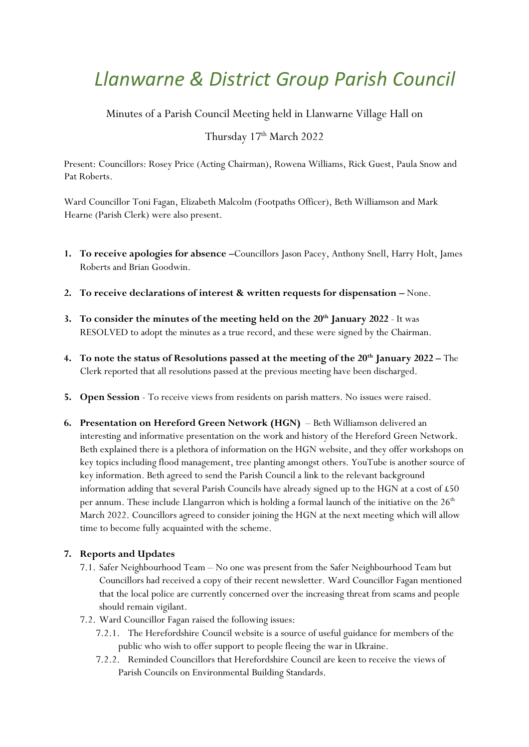# *Llanwarne & District Group Parish Council*

Minutes of a Parish Council Meeting held in Llanwarne Village Hall on

# Thursday 17<sup>th</sup> March 2022

Present: Councillors: Rosey Price (Acting Chairman), Rowena Williams, Rick Guest, Paula Snow and Pat Roberts.

Ward Councillor Toni Fagan, Elizabeth Malcolm (Footpaths Officer), Beth Williamson and Mark Hearne (Parish Clerk) were also present.

- **1. To receive apologies for absence –**Councillors Jason Pacey, Anthony Snell, Harry Holt, James Roberts and Brian Goodwin.
- **2. To receive declarations of interest & written requests for dispensation –** None.
- **3. To consider the minutes of the meeting held on the 20th January 2022** It was RESOLVED to adopt the minutes as a true record, and these were signed by the Chairman.
- **4. To note the status of Resolutions passed at the meeting of the 20th January 2022 –** The Clerk reported that all resolutions passed at the previous meeting have been discharged.
- **5. Open Session** To receive views from residents on parish matters. No issues were raised.
- **6. Presentation on Hereford Green Network (HGN)**  Beth Williamson delivered an interesting and informative presentation on the work and history of the Hereford Green Network. Beth explained there is a plethora of information on the HGN website, and they offer workshops on key topics including flood management, tree planting amongst others. YouTube is another source of key information. Beth agreed to send the Parish Council a link to the relevant background information adding that several Parish Councils have already signed up to the HGN at a cost of £50 per annum. These include Llangarron which is holding a formal launch of the initiative on the 26<sup>th</sup> March 2022. Councillors agreed to consider joining the HGN at the next meeting which will allow time to become fully acquainted with the scheme.

## **7. Reports and Updates**

- 7.1. Safer Neighbourhood Team No one was present from the Safer Neighbourhood Team but Councillors had received a copy of their recent newsletter. Ward Councillor Fagan mentioned that the local police are currently concerned over the increasing threat from scams and people should remain vigilant.
- 7.2. Ward Councillor Fagan raised the following issues:
	- 7.2.1. The Herefordshire Council website is a source of useful guidance for members of the public who wish to offer support to people fleeing the war in Ukraine.
	- 7.2.2. Reminded Councillors that Herefordshire Council are keen to receive the views of Parish Councils on Environmental Building Standards.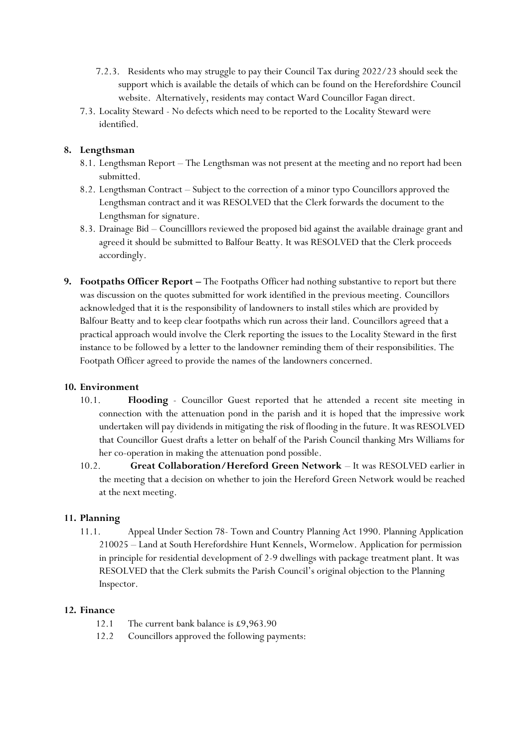- 7.2.3. Residents who may struggle to pay their Council Tax during 2022/23 should seek the support which is available the details of which can be found on the Herefordshire Council website. Alternatively, residents may contact Ward Councillor Fagan direct.
- 7.3. Locality Steward No defects which need to be reported to the Locality Steward were identified.

### **8. Lengthsman**

- 8.1. Lengthsman Report The Lengthsman was not present at the meeting and no report had been submitted.
- 8.2. Lengthsman Contract Subject to the correction of a minor typo Councillors approved the Lengthsman contract and it was RESOLVED that the Clerk forwards the document to the Lengthsman for signature.
- 8.3. Drainage Bid Councilllors reviewed the proposed bid against the available drainage grant and agreed it should be submitted to Balfour Beatty. It was RESOLVED that the Clerk proceeds accordingly.
- **9.** Footpaths Officer Report The Footpaths Officer had nothing substantive to report but there was discussion on the quotes submitted for work identified in the previous meeting. Councillors acknowledged that it is the responsibility of landowners to install stiles which are provided by Balfour Beatty and to keep clear footpaths which run across their land. Councillors agreed that a practical approach would involve the Clerk reporting the issues to the Locality Steward in the first instance to be followed by a letter to the landowner reminding them of their responsibilities. The Footpath Officer agreed to provide the names of the landowners concerned.

#### **10. Environment**

- 10.1. **Flooding** Councillor Guest reported that he attended a recent site meeting in connection with the attenuation pond in the parish and it is hoped that the impressive work undertaken will pay dividends in mitigating the risk of flooding in the future. It was RESOLVED that Councillor Guest drafts a letter on behalf of the Parish Council thanking Mrs Williams for her co-operation in making the attenuation pond possible.
- 10.2. **Great Collaboration/Hereford Green Network** It was RESOLVED earlier in the meeting that a decision on whether to join the Hereford Green Network would be reached at the next meeting.

#### **11. Planning**

11.1. Appeal Under Section 78- Town and Country Planning Act 1990. Planning Application 210025 – Land at South Herefordshire Hunt Kennels, Wormelow. Application for permission in principle for residential development of 2-9 dwellings with package treatment plant. It was RESOLVED that the Clerk submits the Parish Council's original objection to the Planning Inspector.

#### **12. Finance**

- 12.1 The current bank balance is £9,963.90
- 12.2 Councillors approved the following payments: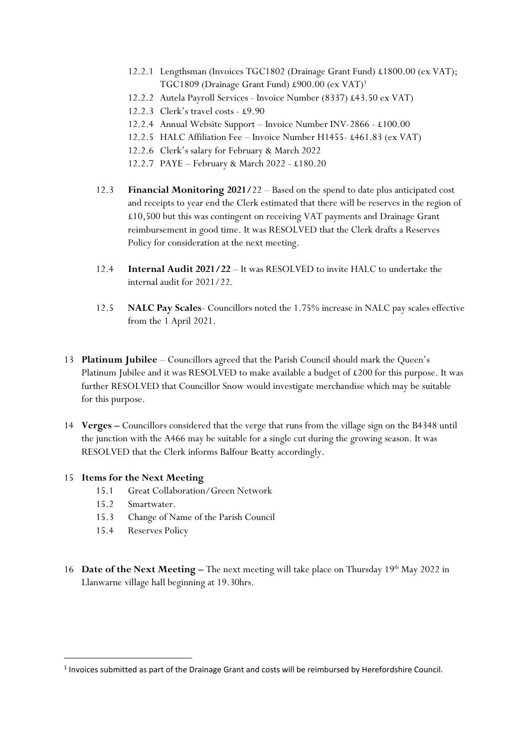- 12.2.1 Lengthsman (Invoices TGC1802 (Drainage Grant Fund) £1800.00 (ex VAT); TGC1809 (Drainage Grant Fund) £900.00 (ex VAT)<sup>1</sup>
- 12.2.2 Autela Payroll Services Invoice Number (8337) £43.50 ex VAT)
- 12.2.3 Clerk's travel costs £9.90
- 12.2.4 Annual Website Support Invoice Number INV-2866 £100.00
- 12.2.5 HALC Affiliation Fee Invoice Number H1455- £461.83 (ex VAT)
- 12.2.6 Clerk's salary for February & March 2022
- 12.2.7 PAYE February & March 2022 £180.20
- 12.3 **Financial Monitoring 2021/**22 Based on the spend to date plus anticipated cost and receipts to year end the Clerk estimated that there will be reserves in the region of £10,500 but this was contingent on receiving VAT payments and Drainage Grant reimbursement in good time. It was RESOLVED that the Clerk drafts a Reserves Policy for consideration at the next meeting.
- 12.4 **Internal Audit 2021/22** It was RESOLVED to invite HALC to undertake the internal audit for 2021/22.
- 12.5 **NALC Pay Scales** Councillors noted the 1.75% increase in NALC pay scales effective from the 1 April 2021.
- 13 **Platinum Jubilee**  Councillors agreed that the Parish Council should mark the Queen's Platinum Jubilee and it was RESOLVED to make available a budget of £200 for this purpose. It was further RESOLVED that Councillor Snow would investigate merchandise which may be suitable for this purpose.
- 14 **Verges –** Councillors considered that the verge that runs from the village sign on the B4348 until the junction with the A466 may be suitable for a single cut during the growing season. It was RESOLVED that the Clerk informs Balfour Beatty accordingly.

#### 15 **Items for the Next Meeting**

- 15.1 Great Collaboration/Green Network
- 15.2 Smartwater.
- 15.3 Change of Name of the Parish Council
- 15.4 Reserves Policy
- 16 **Date of the Next Meeting -** The next meeting will take place on Thursday 19<sup>th</sup> May 2022 in Llanwarne village hall beginning at 19.30hrs.

 $<sup>1</sup>$  Invoices submitted as part of the Drainage Grant and costs will be reimbursed by Herefordshire Council.</sup>